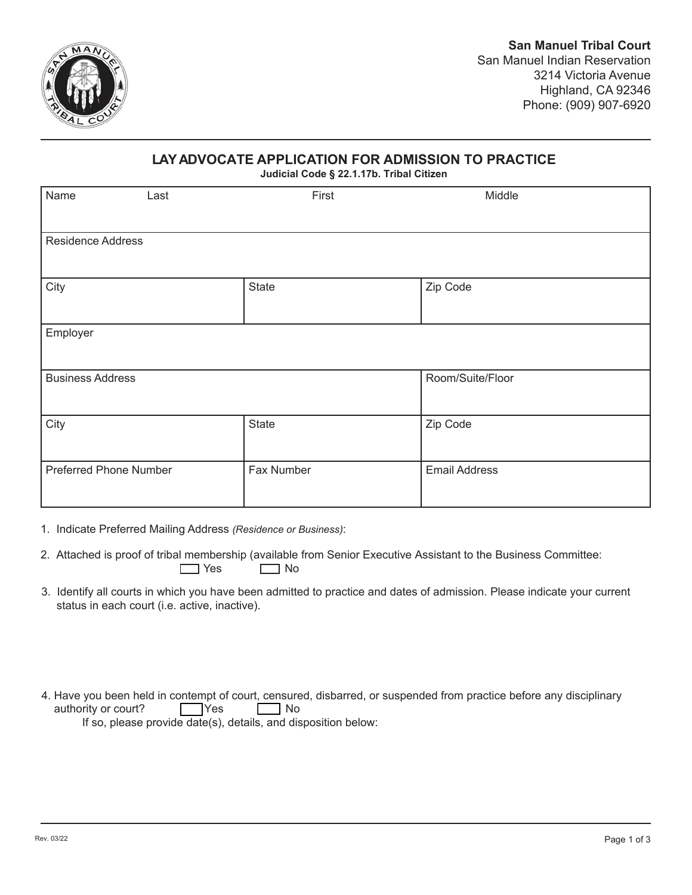

## **LAYADVOCATE APPLICATION FOR ADMISSION TO PRACTICE**

**Judicial Code § 22.1.17b. Tribal Citizen**

| Name<br>Last                  | First      | Middle               |
|-------------------------------|------------|----------------------|
| <b>Residence Address</b>      |            |                      |
| City                          | State      | Zip Code             |
| Employer                      |            |                      |
| <b>Business Address</b>       |            | Room/Suite/Floor     |
| City                          | State      | Zip Code             |
| <b>Preferred Phone Number</b> | Fax Number | <b>Email Address</b> |

1. Indicate Preferred Mailing Address *(Residence or Business)*:

- 2. Attached is proof of tribal membership (available from Senior Executive Assistant to the Business Committee: No No
- 3. Identify all courts in which you have been admitted to practice and dates of admission. Please indicate your current status in each court (i.e. active, inactive).
- 4. Have you been held in contempt of court, censured, disbarred, or suspended from practice before any disciplinary authority or court? authority or court? If so, please provide date(s), details, and disposition below: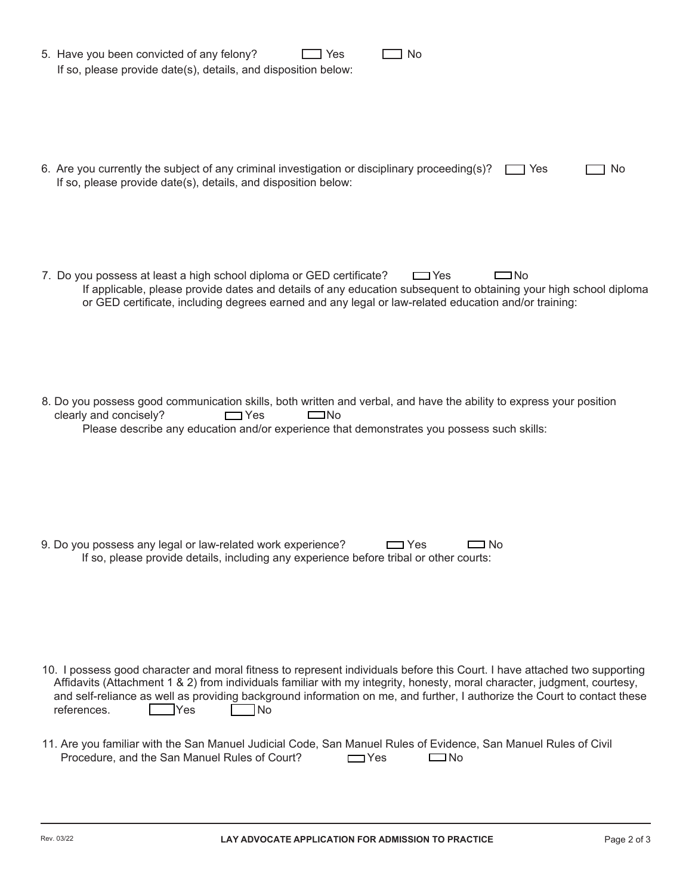| 5. Have you been convicted of any felony?<br><b>No</b><br>Yes<br>If so, please provide date(s), details, and disposition below:                                                                                                                                                                                                                                                                                      |
|----------------------------------------------------------------------------------------------------------------------------------------------------------------------------------------------------------------------------------------------------------------------------------------------------------------------------------------------------------------------------------------------------------------------|
| 6. Are you currently the subject of any criminal investigation or disciplinary proceeding(s)?<br><b>No</b><br>Yes<br>If so, please provide date(s), details, and disposition below:                                                                                                                                                                                                                                  |
| 7. Do you possess at least a high school diploma or GED certificate?<br>$\Box$ No<br>$\Box$ Yes<br>If applicable, please provide dates and details of any education subsequent to obtaining your high school diploma<br>or GED certificate, including degrees earned and any legal or law-related education and/or training:                                                                                         |
| 8. Do you possess good communication skills, both written and verbal, and have the ability to express your position<br>clearly and concisely?<br>$\Box$ Yes<br>$\Box$ No<br>Please describe any education and/or experience that demonstrates you possess such skills:                                                                                                                                               |
| 9. Do you possess any legal or law-related work experience?<br>$\Box$ Yes<br>l No<br>If so, please provide details, including any experience before tribal or other courts:                                                                                                                                                                                                                                          |
| 10. I possess good character and moral fitness to represent individuals before this Court. I have attached two supporting<br>Affidavits (Attachment 1 & 2) from individuals familiar with my integrity, honesty, moral character, judgment, courtesy,<br>and self-reliance as well as providing background information on me, and further, I authorize the Court to contact these<br>references.<br>Yes<br><b>No</b> |
| 11. Are you familiar with the San Manuel Judicial Code, San Manuel Rules of Evidence, San Manuel Rules of Civil<br>Procedure, and the San Manuel Rules of Court?<br>$\Box$ Yes<br>$\Box$ No                                                                                                                                                                                                                          |